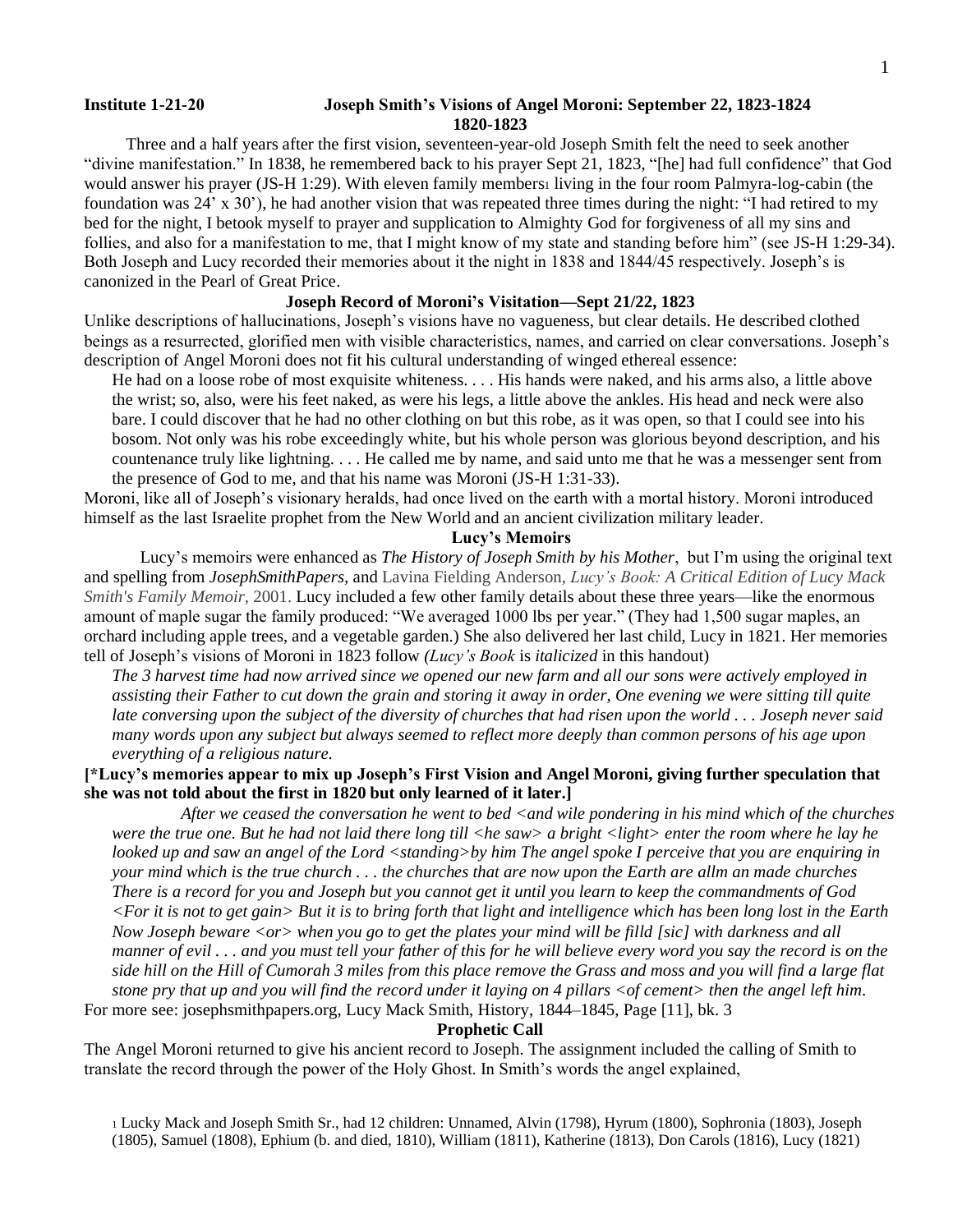## **Institute 1-21-20 Joseph Smith's Visions of Angel Moroni: September 22, 1823-1824 1820-1823**

Three and a half years after the first vision, seventeen-year-old Joseph Smith felt the need to seek another "divine manifestation." In 1838, he remembered back to his prayer Sept 21, 1823, "[he] had full confidence" that God would answer his prayer (JS-H 1:29). With eleven family members living in the four room Palmyra-log-cabin (the foundation was 24' x 30'), he had another vision that was repeated three times during the night: "I had retired to my bed for the night, I betook myself to prayer and supplication to Almighty God for forgiveness of all my sins and follies, and also for a manifestation to me, that I might know of my state and standing before him" (see JS-H 1:29-34). Both Joseph and Lucy recorded their memories about it the night in 1838 and 1844/45 respectively. Joseph's is canonized in the Pearl of Great Price.

# **Joseph Record of Moroni's Visitation—Sept 21/22, 1823**

Unlike descriptions of hallucinations, Joseph's visions have no vagueness, but clear details. He described clothed beings as a resurrected, glorified men with visible characteristics, names, and carried on clear conversations. Joseph's description of Angel Moroni does not fit his cultural understanding of winged ethereal essence:

He had on a loose robe of most exquisite whiteness. . . . His hands were naked, and his arms also, a little above the wrist; so, also, were his feet naked, as were his legs, a little above the ankles. His head and neck were also bare. I could discover that he had no other clothing on but this robe, as it was open, so that I could see into his bosom. Not only was his robe exceedingly white, but his whole person was glorious beyond description, and his countenance truly like lightning. . . . He called me by name, and said unto me that he was a messenger sent from the presence of God to me, and that his name was Moroni (JS-H 1:31-33).

Moroni, like all of Joseph's visionary heralds, had once lived on the earth with a mortal history. Moroni introduced himself as the last Israelite prophet from the New World and an ancient civilization military leader.

# **Lucy's Memoirs**

Lucy's memoirs were enhanced as *The History of Joseph Smith by his Mother*, but I'm using the original text and spelling from *JosephSmithPapers,* and Lavina Fielding Anderson, *Lucy's Book: A Critical Edition of Lucy Mack Smith's Family Memoir,* 2001. Lucy included a few other family details about these three years—like the enormous amount of maple sugar the family produced: "We averaged 1000 lbs per year." (They had 1,500 sugar maples, an orchard including apple trees, and a vegetable garden.) She also delivered her last child, Lucy in 1821. Her memories tell of Joseph's visions of Moroni in 1823 follow *(Lucy's Book* is *italicized* in this handout)

*The 3 harvest time had now arrived since we opened our new farm and all our sons were actively employed in assisting their Father to cut down the grain and storing it away in order, One evening we were sitting till quite late conversing upon the subject of the diversity of churches that had risen upon the world . . . Joseph never said many words upon any subject but always seemed to reflect more deeply than common persons of his age upon everything of a religious nature.* 

# **[\*Lucy's memories appear to mix up Joseph's First Vision and Angel Moroni, giving further speculation that she was not told about the first in 1820 but only learned of it later.]**

 *After we ceased the conversation he went to bed <and wile pondering in his mind which of the churches were the true one. But he had not laid there long till <he saw> a bright <light> enter the room where he lay he looked up and saw an angel of the Lord <standing>by him The angel spoke I perceive that you are enquiring in your mind which is the true church . . . the churches that are now upon the Earth are allm an made churches There is a record for you and Joseph but you cannot get it until you learn to keep the commandments of God <For it is not to get gain> But it is to bring forth that light and intelligence which has been long lost in the Earth Now Joseph beware <or> when you go to get the plates your mind will be filld [sic] with darkness and all manner of evil . . . and you must tell your father of this for he will believe every word you say the record is on the side hill on the Hill of Cumorah 3 miles from this place remove the Grass and moss and you will find a large flat stone pry that up and you will find the record under it laying on 4 pillars <of cement> then the angel left him*.

For more see: josephsmithpapers.org, Lucy Mack Smith, History, [1844–1845,](https://www.josephsmithpapers.org/paper-summary/lucy-mack-smith-history-1844-1845/41?highlight=in%20a%20deep%20study%20for%20sometime%20Alvin%20hurried) Page [11], bk. 3

#### **Prophetic Call**

The Angel Moroni returned to give his ancient record to Joseph. The assignment included the calling of Smith to translate the record through the power of the Holy Ghost. In Smith's words the angel explained,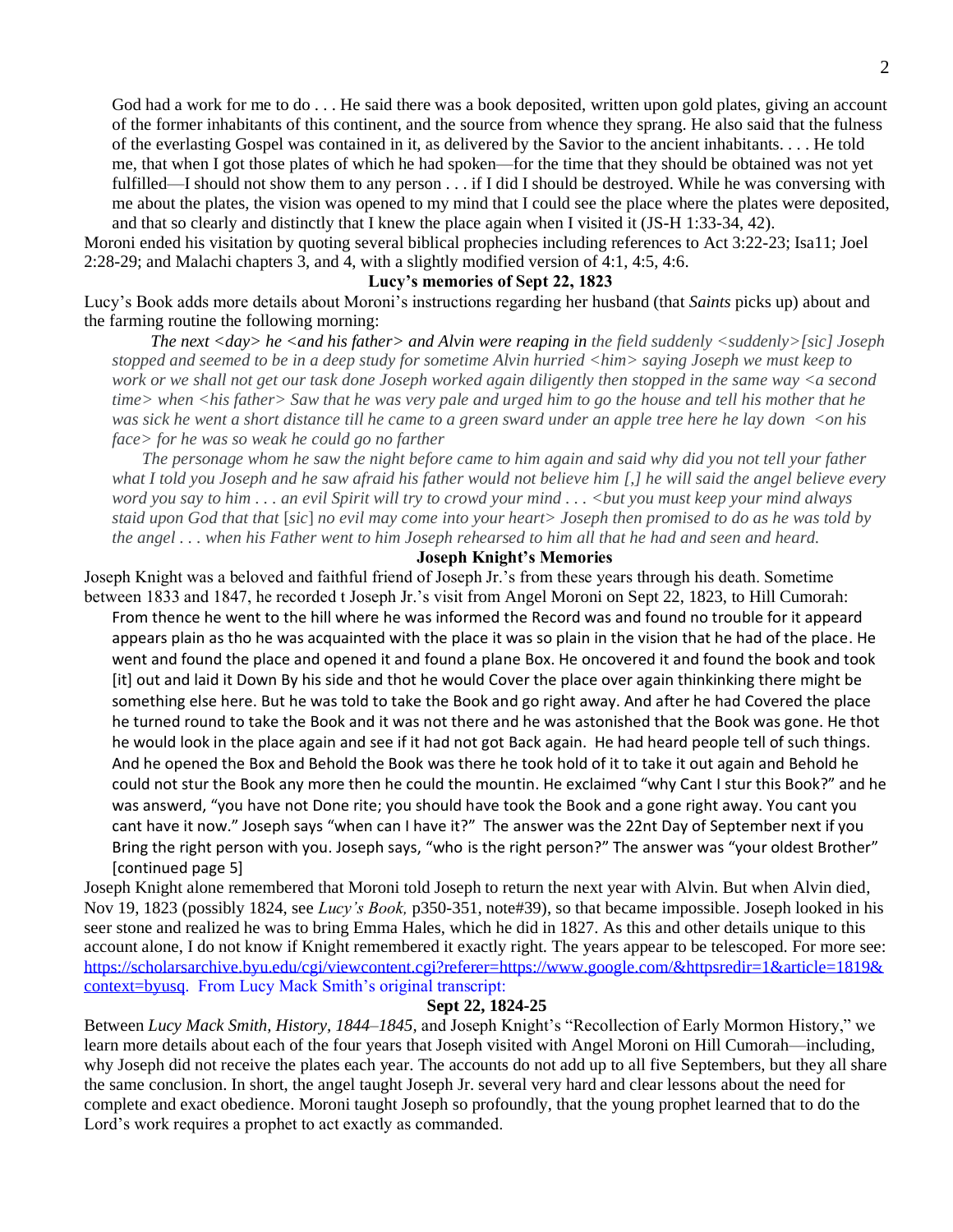God had a work for me to do . . . He said there was a book deposited, written upon gold plates, giving an account of the former inhabitants of this continent, and the source from whence they sprang. He also said that the fulness of the everlasting Gospel was contained in it, as delivered by the Savior to the ancient inhabitants. . . . He told me, that when I got those plates of which he had spoken—for the time that they should be obtained was not yet fulfilled—I should not show them to any person . . . if I did I should be destroyed. While he was conversing with me about the plates, the vision was opened to my mind that I could see the place where the plates were deposited, and that so clearly and distinctly that I knew the place again when I visited it (JS-H 1:33-34, 42).

Moroni ended his visitation by quoting several biblical prophecies including references to Act 3:22-23; Isa11; Joel 2:28-29; and Malachi chapters 3, and 4, with a slightly modified version of 4:1, 4:5, 4:6.

# **Lucy's memories of Sept 22, 1823**

Lucy's Book adds more details about Moroni's instructions regarding her husband (that *Saints* picks up) about and the farming routine the following morning:

*The next <day> he <and his father> and Alvin were reaping in the field suddenly <suddenly>[sic] Joseph stopped and seemed to be in a deep study for sometime Alvin hurried <him> saying Joseph we must keep to work or we shall not get our task done Joseph worked again diligently then stopped in the same way <a second time> when <his father> Saw that he was very pale and urged him to go the house and tell his mother that he was sick he went a short distance till he came to a green sward under an apple tree here he lay down <on his face> for he was so weak he could go no farther*

 *The personage whom he saw the night before came to him again and said why did you not tell your father what I told you Joseph and he saw afraid his father would not believe him [,] he will said the angel believe every word you say to him . . . an evil Spirit will try to crowd your mind . . . <but you must keep your mind always staid upon God that that* [*sic*] *no evil may come into your heart> Joseph then promised to do as he was told by the angel . . . when his Father went to him Joseph rehearsed to him all that he had and seen and heard.*

# **Joseph Knight's Memories**

Joseph Knight was a beloved and faithful friend of Joseph Jr.'s from these years through his death. Sometime between 1833 and 1847, he recorded t Joseph Jr.'s visit from Angel Moroni on Sept 22, 1823, to Hill Cumorah:

From thence he went to the hill where he was informed the Record was and found no trouble for it appeard appears plain as tho he was acquainted with the place it was so plain in the vision that he had of the place. He went and found the place and opened it and found a plane Box. He oncovered it and found the book and took [it] out and laid it Down By his side and thot he would Cover the place over again thinkinking there might be something else here. But he was told to take the Book and go right away. And after he had Covered the place he turned round to take the Book and it was not there and he was astonished that the Book was gone. He thot he would look in the place again and see if it had not got Back again. He had heard people tell of such things. And he opened the Box and Behold the Book was there he took hold of it to take it out again and Behold he could not stur the Book any more then he could the mountin. He exclaimed "why Cant I stur this Book?" and he was answerd, "you have not Done rite; you should have took the Book and a gone right away. You cant you cant have it now." Joseph says "when can I have it?" The answer was the 22nt Day of September next if you Bring the right person with you. Joseph says, "who is the right person?" The answer was "your oldest Brother" [continued page 5]

Joseph Knight alone remembered that Moroni told Joseph to return the next year with Alvin. But when Alvin died, Nov 19, 1823 (possibly 1824, see *Lucy's Book,* p350-351, note#39), so that became impossible. Joseph looked in his seer stone and realized he was to bring Emma Hales, which he did in 1827. As this and other details unique to this account alone, I do not know if Knight remembered it exactly right. The years appear to be telescoped. For more see: [https://scholarsarchive.byu.edu/cgi/viewcontent.cgi?referer=https://www.google.com/&httpsredir=1&article=1819&](https://scholarsarchive.byu.edu/cgi/viewcontent.cgi?referer=https://www.google.com/&httpsredir=1&article=1819&context=byusq) [context=byusq.](https://scholarsarchive.byu.edu/cgi/viewcontent.cgi?referer=https://www.google.com/&httpsredir=1&article=1819&context=byusq) From Lucy Mack Smith's original transcript:

#### **Sept 22, 1824-25**

Between *Lucy Mack Smith, History, 1844–1845,* and Joseph Knight's "Recollection of Early Mormon History," we learn more details about each of the four years that Joseph visited with Angel Moroni on Hill Cumorah—including, why Joseph did not receive the plates each year. The accounts do not add up to all five Septembers, but they all share the same conclusion. In short, the angel taught Joseph Jr. several very hard and clear lessons about the need for complete and exact obedience. Moroni taught Joseph so profoundly, that the young prophet learned that to do the Lord's work requires a prophet to act exactly as commanded.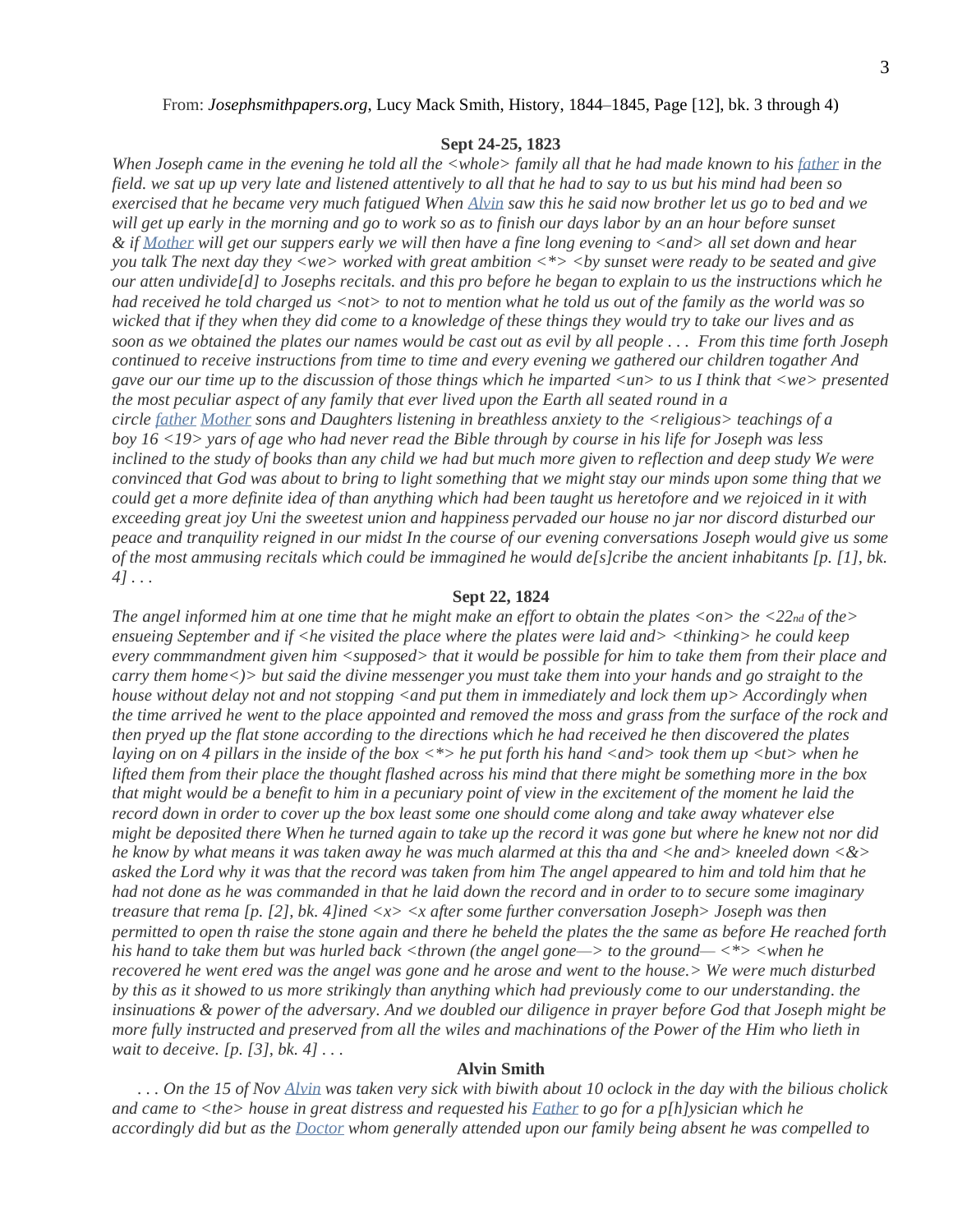#### From: *Josephsmithpapers.org*, Lucy Mack Smith, History, [1844–1845,](https://www.josephsmithpapers.org/paper-summary/lucy-mack-smith-history-1844-1845/41?highlight=in%20a%20deep%20study%20for%20sometime%20Alvin%20hurried) Page [12], bk. 3 through 4)

#### **Sept 24-25, 1823**

*When Joseph came in the evening he told all the <whole> family all that he had made known to his [father](https://www.josephsmithpapers.org/paper-summary/lucy-mack-smith-history-1844-1845/42#15285577636711425061) in the field. we sat up up very late and listened attentively to all that he had to say to us but his mind had been so exercised that he became very much fatigued When [Alvin](https://www.josephsmithpapers.org/paper-summary/lucy-mack-smith-history-1844-1845/42#7208277788803610221) saw this he said now brother let us go to bed and we will get up early in the morning and go to work so as to finish our days labor by an an hour before sunset & if [Mother](https://www.josephsmithpapers.org/paper-summary/lucy-mack-smith-history-1844-1845/42#900901986277587089) will get our suppers early we will then have a fine long evening to <and> all set down and hear you talk The next day they <we> worked with great ambition <\*> <by sunset were ready to be seated and give our atten undivide[d] to Josephs recitals. and this pro before he began to explain to us the instructions which he had received he told charged us <not> to not to mention what he told us out of the family as the world was so wicked that if they when they did come to a knowledge of these things they would try to take our lives and as soon as we obtained the plates our names would be cast out as evil by all people . . . From this time forth Joseph continued to receive instructions from time to time and every evening we gathered our children togather And gave our our time up to the discussion of those things which he imparted <un> to us I think that <we> presented the most peculiar aspect of any family that ever lived upon the Earth all seated round in a circle [father](https://www.josephsmithpapers.org/paper-summary/lucy-mack-smith-history-1844-1845/43#9992051287190699623) [Mother](https://www.josephsmithpapers.org/paper-summary/lucy-mack-smith-history-1844-1845/43#3602597651999188366) sons and Daughters listening in breathless anxiety to the <religious> teachings of a boy 16 <19> yars of age who had never read the Bible through by course in his life for Joseph was less inclined to the study of books than any child we had but much more given to reflection and deep study We were convinced that God was about to bring to light something that we might stay our minds upon some thing that we could get a more definite idea of than anything which had been taught us heretofore and we rejoiced in it with exceeding great joy Uni the sweetest union and happiness pervaded our house no jar nor discord disturbed our peace and tranquility reigned in our midst In the course of our evening conversations Joseph would give us some of the most ammusing recitals which could be immagined he would de[s]cribe the ancient inhabitants [p. [1], bk. 4] . . .* 

#### **Sept 22, 1824**

*The angel informed him at one time that he might make an effort to obtain the plates <on> the <22nd of the> ensueing September and if <he visited the place where the plates were laid and> <thinking> he could keep every commmandment given him <supposed> that it would be possible for him to take them from their place and carry them home<)> but said the divine messenger you must take them into your hands and go straight to the house without delay not and not stopping <and put them in immediately and lock them up> Accordingly when the time arrived he went to the place appointed and removed the moss and grass from the surface of the rock and then pryed up the flat stone according to the directions which he had received he then discovered the plates laying on on* 4 pillars in the inside of the box  $\lt^*$  he put forth his hand  $\lt$  and  $>$  took them up  $\lt$  but  $>$  when he *lifted them from their place the thought flashed across his mind that there might be something more in the box that might would be a benefit to him in a pecuniary point of view in the excitement of the moment he laid the record down in order to cover up the box least some one should come along and take away whatever else might be deposited there When he turned again to take up the record it was gone but where he knew not nor did he know by what means it was taken away he was much alarmed at this tha and <he and> kneeled down <&> asked the Lord why it was that the record was taken from him The angel appeared to him and told him that he had not done as he was commanded in that he laid down the record and in order to to secure some imaginary treasure that rema [p. [2], bk. 4]ined <x> <x after some further conversation Joseph> Joseph was then permitted to open th raise the stone again and there he beheld the plates the the same as before He reached forth his hand to take them but was hurled back <thrown (the angel gone—> to the ground— <\*> <when he recovered he went ered was the angel was gone and he arose and went to the house.> We were much disturbed by this as it showed to us more strikingly than anything which had previously come to our understanding. the insinuations & power of the adversary. And we doubled our diligence in prayer before God that Joseph might be more fully instructed and preserved from all the wiles and machinations of the Power of the Him who lieth in wait to deceive. [p. [3], bk. 4] . . .* 

# **Alvin Smith**

*. . . On the 15 of Nov [Alvin](https://www.josephsmithpapers.org/paper-summary/lucy-mack-smith-history-1844-1845/42#13744875234800053189) was taken very sick with biwith about 10 oclock in the day with the bilious cholick and came to <the> house in great distress and requested his [Father](https://www.josephsmithpapers.org/paper-summary/lucy-mack-smith-history-1844-1845/42#17135234010169498763) to go for a p[h]ysician which he accordingly did but as the [Doctor](https://www.josephsmithpapers.org/paper-summary/lucy-mack-smith-history-1844-1845/42#1423819514643664928) whom generally attended upon our family being absent he was compelled to*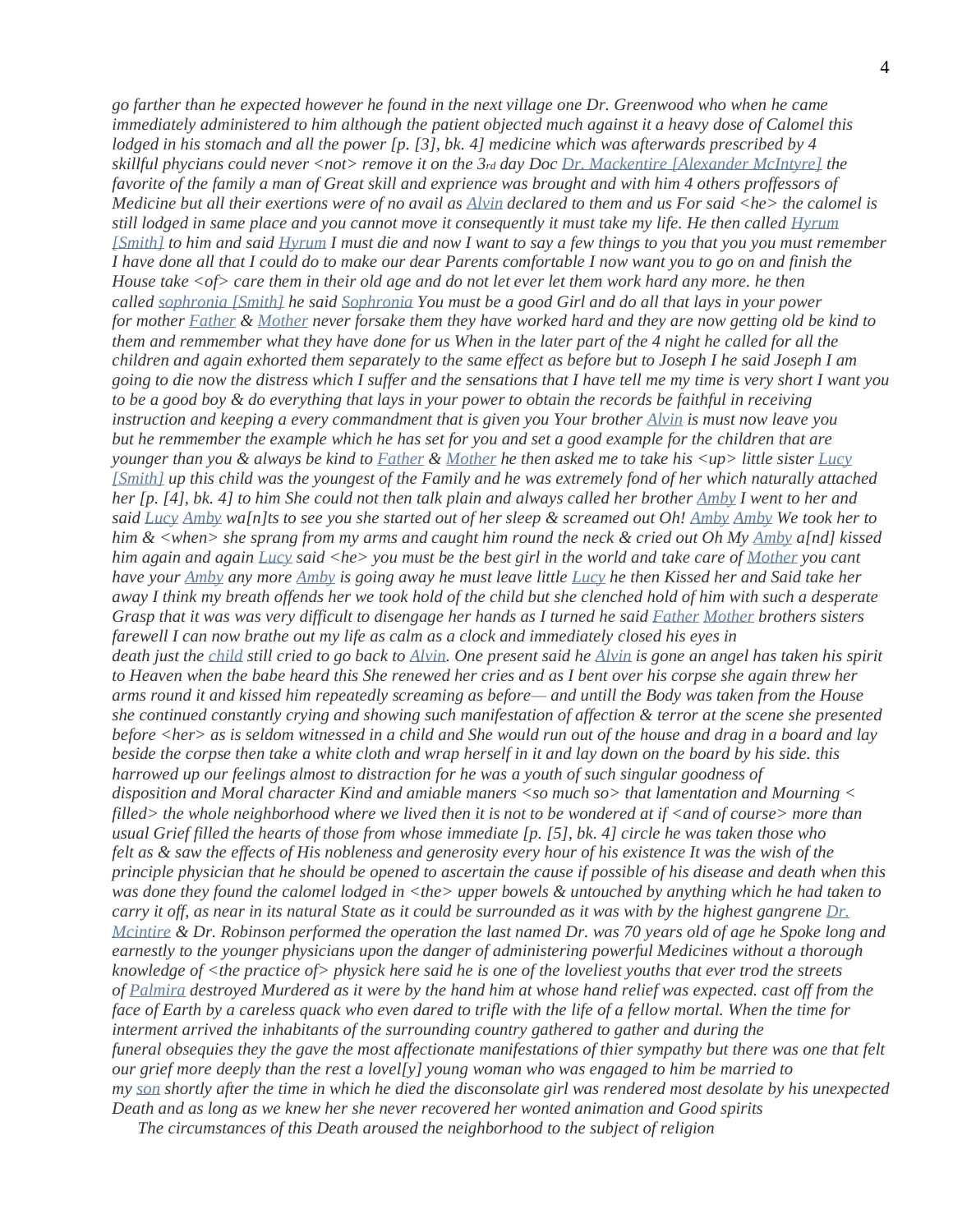*go farther than he expected however he found in the next village one Dr. Greenwood who when he came immediately administered to him although the patient objected much against it a heavy dose of Calomel this lodged in his stomach and all the power [p. [3], bk. 4] medicine which was afterwards prescribed by 4 skillful phycians could never <not> remove it on the 3rd day Doc [Dr. Mackentire \[Alexander McIntyre\]](https://www.josephsmithpapers.org/paper-summary/lucy-mack-smith-history-1844-1845/42#12686018330879841152) the favorite of the family a man of Great skill and exprience was brought and with him 4 others proffessors of Medicine but all their exertions were of no avail as [Alvin](https://www.josephsmithpapers.org/paper-summary/lucy-mack-smith-history-1844-1845/42#6606641193585349707) declared to them and us For said <he> the calomel is still lodged in same place and you cannot move it consequently it must take my life. He then called [Hyrum](https://www.josephsmithpapers.org/paper-summary/lucy-mack-smith-history-1844-1845/42#823119248838443553)  [\[Smith\]](https://www.josephsmithpapers.org/paper-summary/lucy-mack-smith-history-1844-1845/42#823119248838443553) to him and said [Hyrum](https://www.josephsmithpapers.org/paper-summary/lucy-mack-smith-history-1844-1845/42#11046380542576901897) I must die and now I want to say a few things to you that you you must remember I have done all that I could do to make our dear Parents comfortable I now want you to go on and finish the House take <of> care them in their old age and do not let ever let them work hard any more. he then called [sophronia \[Smith\]](https://www.josephsmithpapers.org/paper-summary/lucy-mack-smith-history-1844-1845/42#12432907606663698820) he said [Sophronia](https://www.josephsmithpapers.org/paper-summary/lucy-mack-smith-history-1844-1845/42#1815102587069188145) You must be a good Girl and do all that lays in your power for mother [Father](https://www.josephsmithpapers.org/paper-summary/lucy-mack-smith-history-1844-1845/42#13939613909861199580) & [Mother](https://www.josephsmithpapers.org/paper-summary/lucy-mack-smith-history-1844-1845/42#4809391600190873250) never forsake them they have worked hard and they are now getting old be kind to them and remmember what they have done for us When in the later part of the 4 night he called for all the children and again exhorted them separately to the same effect as before but to Joseph I he said Joseph I am going to die now the distress which I suffer and the sensations that I have tell me my time is very short I want you to be a good boy & do everything that lays in your power to obtain the records be faithful in receiving instruction and keeping a every commandment that is given you Your brother [Alvin](https://www.josephsmithpapers.org/paper-summary/lucy-mack-smith-history-1844-1845/42#16923611463586819322) is must now leave you but he remmember the example which he has set for you and set a good example for the children that are younger than you & always be kind to [Father](https://www.josephsmithpapers.org/paper-summary/lucy-mack-smith-history-1844-1845/42#6586027853508518909) & [Mother](https://www.josephsmithpapers.org/paper-summary/lucy-mack-smith-history-1844-1845/42#10950813358971970678) he then asked me to take his <up> little sister [Lucy](https://www.josephsmithpapers.org/paper-summary/lucy-mack-smith-history-1844-1845/42#2363384539498465643)  [\[Smith\]](https://www.josephsmithpapers.org/paper-summary/lucy-mack-smith-history-1844-1845/42#2363384539498465643) up this child was the youngest of the Family and he was extremely fond of her which naturally attached her [p. [4], bk. 4] to him She could not then talk plain and always called her brother [Amby](https://www.josephsmithpapers.org/paper-summary/lucy-mack-smith-history-1844-1845/42#10377978734213872969) I went to her and said [Lucy](https://www.josephsmithpapers.org/paper-summary/lucy-mack-smith-history-1844-1845/42#15564259626385653810) [Amby](https://www.josephsmithpapers.org/paper-summary/lucy-mack-smith-history-1844-1845/42#9691175290090062339) wa[n]ts to see you she started out of her sleep & screamed out Oh! [Amby](https://www.josephsmithpapers.org/paper-summary/lucy-mack-smith-history-1844-1845/42#1042778068827775277) [Amby](https://www.josephsmithpapers.org/paper-summary/lucy-mack-smith-history-1844-1845/42#14849708875438528132) We took her to him & <when> she sprang from my arms and caught him round the neck & cried out Oh My [Amby](https://www.josephsmithpapers.org/paper-summary/lucy-mack-smith-history-1844-1845/42#15813014943411808374) a[nd] kissed him again and again [Lucy](https://www.josephsmithpapers.org/paper-summary/lucy-mack-smith-history-1844-1845/42#14628867424390904153) said <he> you must be the best girl in the world and take care of [Mother](https://www.josephsmithpapers.org/paper-summary/lucy-mack-smith-history-1844-1845/42#12483734481624418618) you cant have your [Amby](https://www.josephsmithpapers.org/paper-summary/lucy-mack-smith-history-1844-1845/42#2492836135230887909) any more [Amby](https://www.josephsmithpapers.org/paper-summary/lucy-mack-smith-history-1844-1845/42#12906066038734205068) is going away he must leave little [Lucy](https://www.josephsmithpapers.org/paper-summary/lucy-mack-smith-history-1844-1845/42#11360745671682846445) he then Kissed her and Said take her away I think my breath offends her we took hold of the child but she clenched hold of him with such a desperate Grasp that it was was very difficult to disengage her hands as I turned he said [Father](https://www.josephsmithpapers.org/paper-summary/lucy-mack-smith-history-1844-1845/42#6536906418015937071) [Mother](https://www.josephsmithpapers.org/paper-summary/lucy-mack-smith-history-1844-1845/42#2308143968548007102) brothers sisters farewell I can now brathe out my life as calm as a clock and immediately closed his eyes in death just the [child](https://www.josephsmithpapers.org/paper-summary/lucy-mack-smith-history-1844-1845/42#6160036505463264380) still cried to go back to [Alvin.](https://www.josephsmithpapers.org/paper-summary/lucy-mack-smith-history-1844-1845/42#2252160024553920958) One present said he [Alvin](https://www.josephsmithpapers.org/paper-summary/lucy-mack-smith-history-1844-1845/42#9856123764442469564) is gone an angel has taken his spirit to Heaven when the babe heard this She renewed her cries and as I bent over his corpse she again threw her arms round it and kissed him repeatedly screaming as before— and untill the Body was taken from the House she continued constantly crying and showing such manifestation of affection & terror at the scene she presented before <her> as is seldom witnessed in a child and She would run out of the house and drag in a board and lay beside the corpse then take a white cloth and wrap herself in it and lay down on the board by his side. this harrowed up our feelings almost to distraction for he was a youth of such singular goodness of disposition and Moral character Kind and amiable maners <so much so> that lamentation and Mourning < filled> the whole neighborhood where we lived then it is not to be wondered at if <and of course> more than usual Grief filled the hearts of those from whose immediate [p. [5], bk. 4] circle he was taken those who felt as & saw the effects of His nobleness and generosity every hour of his existence It was the wish of the principle physician that he should be opened to ascertain the cause if possible of his disease and death when this was done they found the calomel lodged in <the> upper bowels & untouched by anything which he had taken to carry it off, as near in its natural State as it could be surrounded as it was with by the highest gangrene [Dr.](https://www.josephsmithpapers.org/paper-summary/lucy-mack-smith-history-1844-1845/42#14515777687140929890)  [Mcintire](https://www.josephsmithpapers.org/paper-summary/lucy-mack-smith-history-1844-1845/42#14515777687140929890) & Dr. Robinson performed the operation the last named Dr. was 70 years old of age he Spoke long and earnestly to the younger physicians upon the danger of administering powerful Medicines without a thorough knowledge of <the practice of> physick here said he is one of the loveliest youths that ever trod the streets of [Palmira](https://www.josephsmithpapers.org/paper-summary/lucy-mack-smith-history-1844-1845/42#3879236154444796992) destroyed Murdered as it were by the hand him at whose hand relief was expected. cast off from the face of Earth by a careless quack who even dared to trifle with the life of a fellow mortal. When the time for interment arrived the inhabitants of the surrounding country gathered to gather and during the funeral obsequies they the gave the most affectionate manifestations of thier sympathy but there was one that felt our grief more deeply than the rest a lovel[y] young woman who was engaged to him be married to my [son](https://www.josephsmithpapers.org/paper-summary/lucy-mack-smith-history-1844-1845/42#14286963461195667896) shortly after the time in which he died the disconsolate girl was rendered most desolate by his unexpected Death and as long as we knew her she never recovered her wonted animation and Good spirits*

*The circumstances of this Death aroused the neighborhood to the subject of religion*